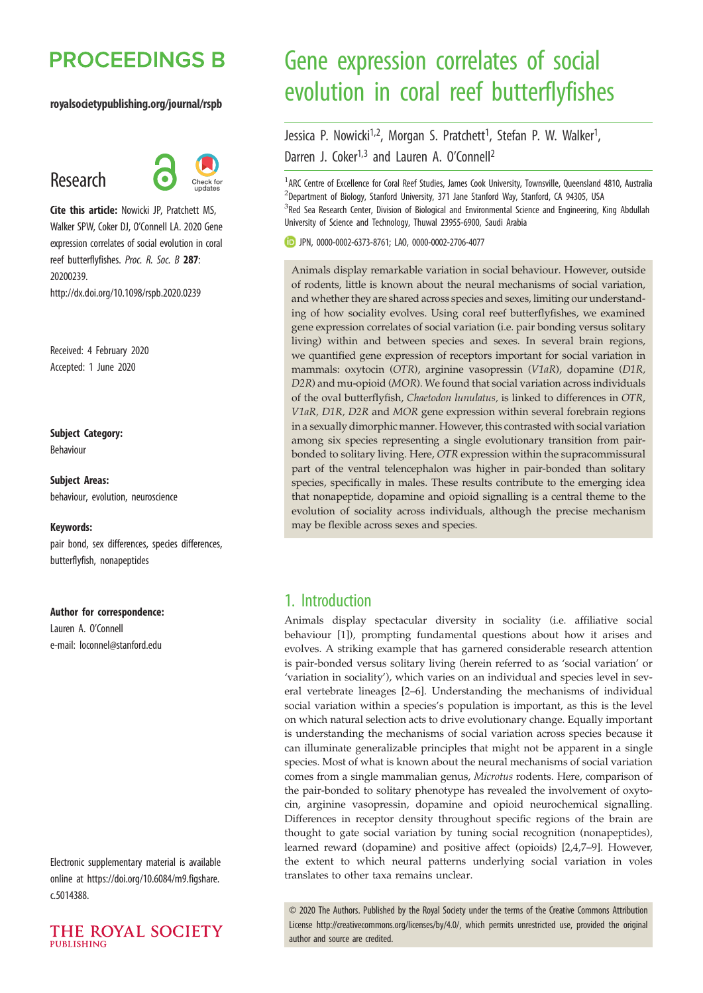# **PROCEEDINGS B**

#### royalsocietypublishing.org/journal/rspb

# Research



Cite this article: Nowicki JP, Pratchett MS, Walker SPW, Coker DJ, O'Connell LA. 2020 Gene expression correlates of social evolution in coral reef butterflyfishes. Proc. R. Soc. B 287: 20200239. http://dx.doi.org/10.1098/rspb.2020.0239

Received: 4 February 2020 Accepted: 1 June 2020

### Subject Category:

Behaviour

Subject Areas: behaviour, evolution, neuroscience

#### Keywords:

pair bond, sex differences, species differences, butterflyfish, nonapeptides

#### Author for correspondence:

Lauren A. O'Connell e-mail: [loconnel@stanford.edu](mailto:loconnel@stanford.edu)

Electronic supplementary material is available online at [https://doi.org/10.6084/m9.figshare.](https://doi.org/10.6084/m9.figshare.c.5014388) [c.5014388.](https://doi.org/10.6084/m9.figshare.c.5014388)



# Gene expression correlates of social evolution in coral reef butterflyfishes

Jessica P. Nowicki<sup>1,2</sup>, Morgan S. Pratchett<sup>1</sup>, Stefan P. W. Walker<sup>1</sup> , Darren J. Coker<sup>1,3</sup> and Lauren A. O'Connell<sup>2</sup>

<sup>1</sup>ARC Centre of Excellence for Coral Reef Studies, James Cook University, Townsville, Queensland 4810, Australia <sup>2</sup>Department of Biology, Stanford University, 371 Jane Stanford Way, Stanford, CA 94305, USA <sup>3</sup> Red Sea Research Center, Division of Biological and Environmental Science and Engineering, King Abdullah University of Science and Technology, Thuwal 23955-6900, Saudi Arabia

JPN, [0000-0002-6373-8761](http://orcid.org/0000-0002-6373-8761); LAO, [0000-0002-2706-4077](http://orcid.org/0000-0002-2706-4077)

Animals display remarkable variation in social behaviour. However, outside of rodents, little is known about the neural mechanisms of social variation, and whether they are shared across species and sexes, limiting our understanding of how sociality evolves. Using coral reef butterflyfishes, we examined gene expression correlates of social variation (i.e. pair bonding versus solitary living) within and between species and sexes. In several brain regions, we quantified gene expression of receptors important for social variation in mammals: oxytocin (OTR), arginine vasopressin (V1aR), dopamine (D1R, D2R) and mu-opioid (MOR). We found that social variation across individuals of the oval butterflyfish, Chaetodon lunulatus, is linked to differences in OTR, V1aR, D1R, D2R and MOR gene expression within several forebrain regions in a sexually dimorphic manner. However, this contrasted with social variation among six species representing a single evolutionary transition from pairbonded to solitary living. Here, OTR expression within the supracommissural part of the ventral telencephalon was higher in pair-bonded than solitary species, specifically in males. These results contribute to the emerging idea that nonapeptide, dopamine and opioid signalling is a central theme to the evolution of sociality across individuals, although the precise mechanism may be flexible across sexes and species.

## 1. Introduction

Animals display spectacular diversity in sociality (i.e. affiliative social behaviour [[1](#page-5-0)]), prompting fundamental questions about how it arises and evolves. A striking example that has garnered considerable research attention is pair-bonded versus solitary living (herein referred to as 'social variation' or 'variation in sociality'), which varies on an individual and species level in several vertebrate lineages [[2](#page-5-0)–[6](#page-5-0)]. Understanding the mechanisms of individual social variation within a species's population is important, as this is the level on which natural selection acts to drive evolutionary change. Equally important is understanding the mechanisms of social variation across species because it can illuminate generalizable principles that might not be apparent in a single species. Most of what is known about the neural mechanisms of social variation comes from a single mammalian genus, Microtus rodents. Here, comparison of the pair-bonded to solitary phenotype has revealed the involvement of oxytocin, arginine vasopressin, dopamine and opioid neurochemical signalling. Differences in receptor density throughout specific regions of the brain are thought to gate social variation by tuning social recognition (nonapeptides), learned reward (dopamine) and positive affect (opioids) [[2,4,7](#page-5-0)–[9\]](#page-5-0). However, the extent to which neural patterns underlying social variation in voles translates to other taxa remains unclear.

© 2020 The Authors. Published by the Royal Society under the terms of the Creative Commons Attribution License<http://creativecommons.org/licenses/by/4.0/>, which permits unrestricted use, provided the original author and source are credited.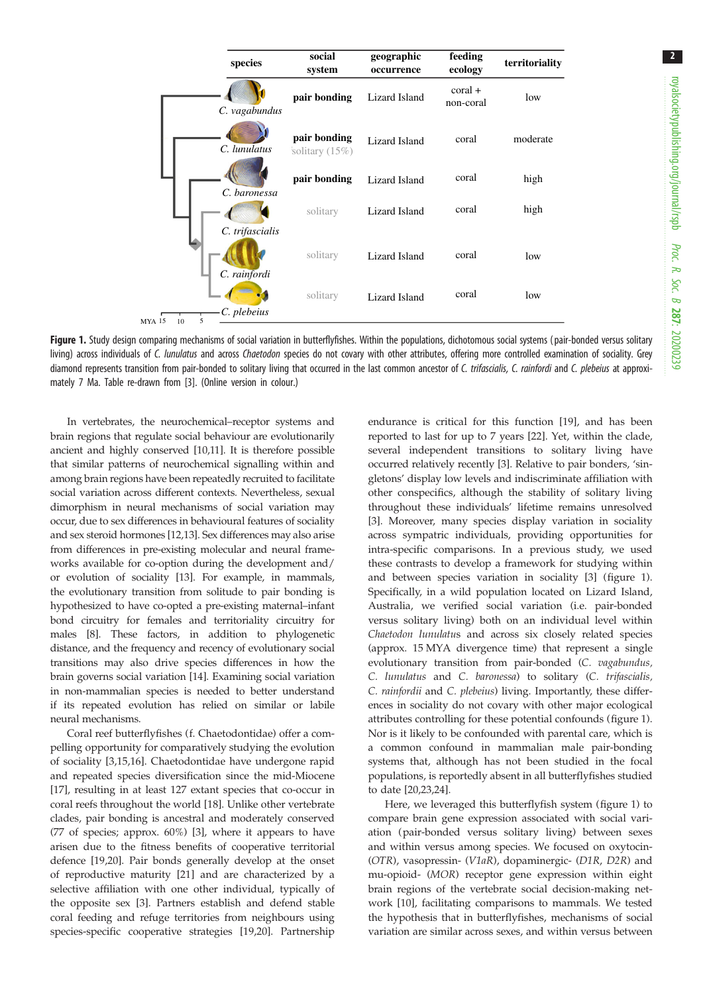2

| species                 | social<br>system                 | geographic<br>occurrence | feeding<br>ecology            | territoriality |
|-------------------------|----------------------------------|--------------------------|-------------------------------|----------------|
| C. vagabundus           | pair bonding                     | Lizard Island            | $\text{coral}$ +<br>non-coral | low            |
| C. lunulatus            | pair bonding<br>solitary $(15%)$ | <b>Lizard Island</b>     | coral                         | moderate       |
| C. baronessa            | pair bonding                     | Lizard Island            | coral                         | high           |
| C. trifascialis         | solitary                         | Lizard Island            | coral                         | high           |
| C. rainfordi            | solitary                         | Lizard Island            | coral                         | low            |
| C. plebeius<br>5<br>.15 | solitary                         | Lizard Island            | coral                         | low            |
| 10                      |                                  |                          |                               |                |

Figure 1. Study design comparing mechanisms of social variation in butterflyfishes. Within the populations, dichotomous social systems (pair-bonded versus solitary living) across individuals of C. lunulatus and across Chaetodon species do not covary with other attributes, offering more controlled examination of sociality. Grey diamond represents transition from pair-bonded to solitary living that occurred in the last common ancestor of C. trifascialis, C. rainfordi and C. plebeius at approximately 7 Ma. Table re-drawn from [[3\]](#page-5-0). (Online version in colour.)

In vertebrates, the neurochemical–receptor systems and brain regions that regulate social behaviour are evolutionarily ancient and highly conserved [[10,11](#page-5-0)]. It is therefore possible that similar patterns of neurochemical signalling within and among brain regions have been repeatedly recruited to facilitate social variation across different contexts. Nevertheless, sexual dimorphism in neural mechanisms of social variation may occur, due to sex differences in behavioural features of sociality and sex steroid hormones [[12](#page-5-0),[13](#page-5-0)]. Sex differences may also arise from differences in pre-existing molecular and neural frameworks available for co-option during the development and/ or evolution of sociality [[13\]](#page-5-0). For example, in mammals, the evolutionary transition from solitude to pair bonding is hypothesized to have co-opted a pre-existing maternal–infant bond circuitry for females and territoriality circuitry for males [\[8\]](#page-5-0). These factors, in addition to phylogenetic distance, and the frequency and recency of evolutionary social transitions may also drive species differences in how the brain governs social variation [\[14](#page-5-0)]. Examining social variation in non-mammalian species is needed to better understand if its repeated evolution has relied on similar or labile neural mechanisms.

 $MV$ 

Coral reef butterflyfishes (f. Chaetodontidae) offer a compelling opportunity for comparatively studying the evolution of sociality [\[3,15,16](#page-5-0)]. Chaetodontidae have undergone rapid and repeated species diversification since the mid-Miocene [\[17](#page-5-0)], resulting in at least 127 extant species that co-occur in coral reefs throughout the world [[18\]](#page-5-0). Unlike other vertebrate clades, pair bonding is ancestral and moderately conserved (77 of species; approx. 60%) [[3](#page-5-0)], where it appears to have arisen due to the fitness benefits of cooperative territorial defence [[19,20](#page-5-0)]. Pair bonds generally develop at the onset of reproductive maturity [[21\]](#page-5-0) and are characterized by a selective affiliation with one other individual, typically of the opposite sex [\[3\]](#page-5-0). Partners establish and defend stable coral feeding and refuge territories from neighbours using species-specific cooperative strategies [\[19,20](#page-5-0)]. Partnership

endurance is critical for this function [[19\]](#page-5-0), and has been reported to last for up to 7 years [[22\]](#page-5-0). Yet, within the clade, several independent transitions to solitary living have occurred relatively recently [\[3\]](#page-5-0). Relative to pair bonders, 'singletons' display low levels and indiscriminate affiliation with other conspecifics, although the stability of solitary living throughout these individuals' lifetime remains unresolved [[3](#page-5-0)]. Moreover, many species display variation in sociality across sympatric individuals, providing opportunities for intra-specific comparisons. In a previous study, we used these contrasts to develop a framework for studying within and between species variation in sociality [\[3\]](#page-5-0) (figure 1). Specifically, in a wild population located on Lizard Island, Australia, we verified social variation (i.e. pair-bonded versus solitary living) both on an individual level within Chaetodon lunulatus and across six closely related species (approx. 15 MYA divergence time) that represent a single evolutionary transition from pair-bonded (C. vagabundus, C. lunulatus and C. baronessa) to solitary (C. trifascialis, C. rainfordii and C. plebeius) living. Importantly, these differences in sociality do not covary with other major ecological attributes controlling for these potential confounds (figure 1). Nor is it likely to be confounded with parental care, which is a common confound in mammalian male pair-bonding systems that, although has not been studied in the focal populations, is reportedly absent in all butterflyfishes studied to date [\[20](#page-5-0),[23,24\]](#page-5-0).

Here, we leveraged this butterflyfish system (figure 1) to compare brain gene expression associated with social variation (pair-bonded versus solitary living) between sexes and within versus among species. We focused on oxytocin- (OTR), vasopressin- (V1aR), dopaminergic- (D1R, D2R) and mu-opioid- (MOR) receptor gene expression within eight brain regions of the vertebrate social decision-making network [\[10](#page-5-0)], facilitating comparisons to mammals. We tested the hypothesis that in butterflyfishes, mechanisms of social variation are similar across sexes, and within versus between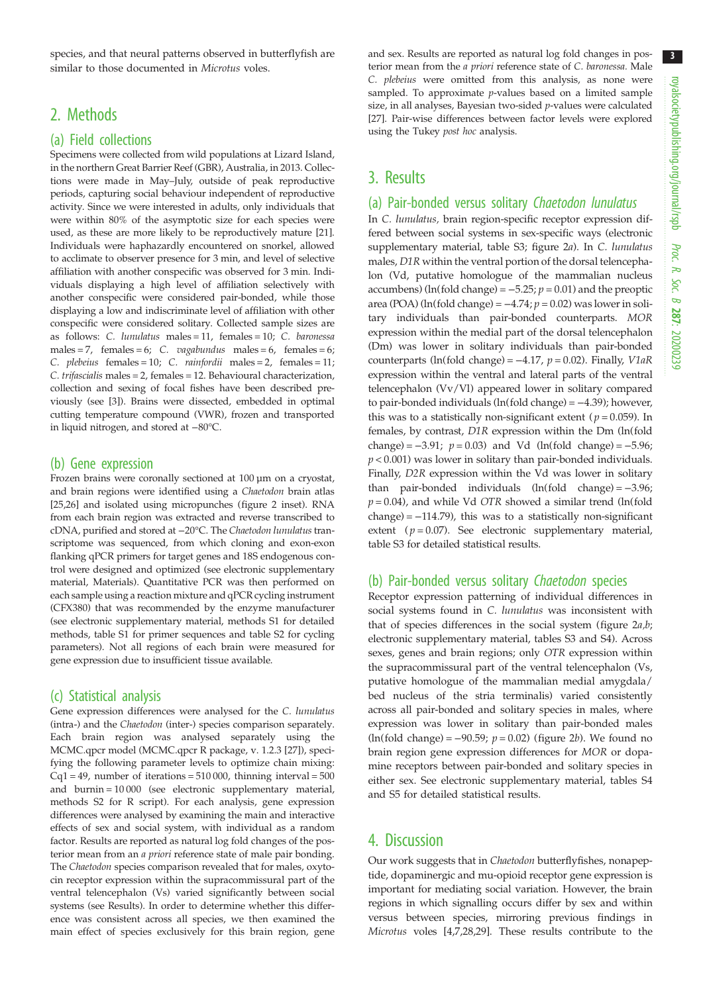species, and that neural patterns observed in butterflyfish are similar to those documented in Microtus voles.

## 2. Methods

### (a) Field collections

Specimens were collected from wild populations at Lizard Island, in the northern Great Barrier Reef (GBR), Australia, in 2013. Collections were made in May–July, outside of peak reproductive periods, capturing social behaviour independent of reproductive activity. Since we were interested in adults, only individuals that were within 80% of the asymptotic size for each species were used, as these are more likely to be reproductively mature [\[21\]](#page-5-0). Individuals were haphazardly encountered on snorkel, allowed to acclimate to observer presence for 3 min, and level of selective affiliation with another conspecific was observed for 3 min. Individuals displaying a high level of affiliation selectively with another conspecific were considered pair-bonded, while those displaying a low and indiscriminate level of affiliation with other conspecific were considered solitary. Collected sample sizes are as follows: C. lunulatus males = 11, females = 10; C. baronessa males = 7, females = 6; C. *vagabundus* males = 6, females = 6; C. plebeius females = 10; C. rainfordii males = 2, females = 11; C. trifascialis males = 2, females = 12. Behavioural characterization, collection and sexing of focal fishes have been described previously (see [[3](#page-5-0)]). Brains were dissected, embedded in optimal cutting temperature compound (VWR), frozen and transported in liquid nitrogen, and stored at −80°C.

### (b) Gene expression

Frozen brains were coronally sectioned at 100 µm on a cryostat, and brain regions were identified using a Chaetodon brain atlas [\[25,26](#page-5-0)] and isolated using micropunches ([figure 2](#page-3-0) inset). RNA from each brain region was extracted and reverse transcribed to cDNA, purified and stored at −20°C. The Chaetodon lunulatus transcriptome was sequenced, from which cloning and exon-exon flanking qPCR primers for target genes and 18S endogenous control were designed and optimized (see electronic supplementary material, Materials). Quantitative PCR was then performed on each sample using a reaction mixture and qPCR cycling instrument (CFX380) that was recommended by the enzyme manufacturer (see electronic supplementary material, methods S1 for detailed methods, table S1 for primer sequences and table S2 for cycling parameters). Not all regions of each brain were measured for gene expression due to insufficient tissue available.

## (c) Statistical analysis

Gene expression differences were analysed for the C. lunulatus (intra-) and the Chaetodon (inter-) species comparison separately. Each brain region was analysed separately using the MCMC.qpcr model (MCMC.qpcr R package, v. 1.2.3 [[27](#page-5-0)]), specifying the following parameter levels to optimize chain mixing:  $Cq1 = 49$ , number of iterations = 510 000, thinning interval = 500 and burnin = 10 000 (see electronic supplementary material, methods S2 for R script). For each analysis, gene expression differences were analysed by examining the main and interactive effects of sex and social system, with individual as a random factor. Results are reported as natural log fold changes of the posterior mean from an a priori reference state of male pair bonding. The Chaetodon species comparison revealed that for males, oxytocin receptor expression within the supracommissural part of the ventral telencephalon (Vs) varied significantly between social systems (see Results). In order to determine whether this difference was consistent across all species, we then examined the main effect of species exclusively for this brain region, gene

and sex. Results are reported as natural log fold changes in posterior mean from the a priori reference state of C. baronessa. Male C. plebeius were omitted from this analysis, as none were sampled. To approximate *p*-values based on a limited sample size, in all analyses, Bayesian two-sided p-values were calculated [[27](#page-5-0)]. Pair-wise differences between factor levels were explored using the Tukey post hoc analysis.

## 3. Results

#### (a) Pair-bonded versus solitary Chaetodon lunulatus

In C. lunulatus, brain region-specific receptor expression differed between social systems in sex-specific ways (electronic supplementary material, table S3; [figure 2](#page-3-0)a). In C. lunulatus males, D1R within the ventral portion of the dorsal telencephalon (Vd, putative homologue of the mammalian nucleus accumbens) (ln(fold change) =  $-5.25$ ;  $p = 0.01$ ) and the preoptic area (POA) (ln(fold change) =  $-4.74$ ;  $p = 0.02$ ) was lower in solitary individuals than pair-bonded counterparts. MOR expression within the medial part of the dorsal telencephalon (Dm) was lower in solitary individuals than pair-bonded counterparts (ln(fold change) =  $-4.17$ ,  $p = 0.02$ ). Finally, V1aR expression within the ventral and lateral parts of the ventral telencephalon (Vv/Vl) appeared lower in solitary compared to pair-bonded individuals (ln(fold change) = −4.39); however, this was to a statistically non-significant extent ( $p = 0.059$ ). In females, by contrast, D1R expression within the Dm (ln(fold change) =  $-3.91$ ;  $p = 0.03$ ) and Vd (ln(fold change) =  $-5.96$ ;  $p < 0.001$ ) was lower in solitary than pair-bonded individuals. Finally, D2R expression within the Vd was lower in solitary than pair-bonded individuals  $(ln(fold change) = -3.96;$  $p = 0.04$ ), and while Vd OTR showed a similar trend (ln(fold  $change$ ) =  $-114.79$ ), this was to a statistically non-significant extent ( $p = 0.07$ ). See electronic supplementary material, table S3 for detailed statistical results.

#### (b) Pair-bonded versus solitary Chaetodon species

Receptor expression patterning of individual differences in social systems found in C. lunulatus was inconsistent with that of species differences in the social system ([figure 2](#page-3-0)a,b; electronic supplementary material, tables S3 and S4). Across sexes, genes and brain regions; only OTR expression within the supracommissural part of the ventral telencephalon (Vs, putative homologue of the mammalian medial amygdala/ bed nucleus of the stria terminalis) varied consistently across all pair-bonded and solitary species in males, where expression was lower in solitary than pair-bonded males (ln(fold change) =  $-90.59$ ;  $p = 0.02$ ) [\(figure 2](#page-3-0)b). We found no brain region gene expression differences for MOR or dopamine receptors between pair-bonded and solitary species in either sex. See electronic supplementary material, tables S4 and S5 for detailed statistical results.

## 4. Discussion

Our work suggests that in Chaetodon butterflyfishes, nonapeptide, dopaminergic and mu-opioid receptor gene expression is important for mediating social variation. However, the brain regions in which signalling occurs differ by sex and within versus between species, mirroring previous findings in Microtus voles [[4,7,28,29](#page-5-0)]. These results contribute to the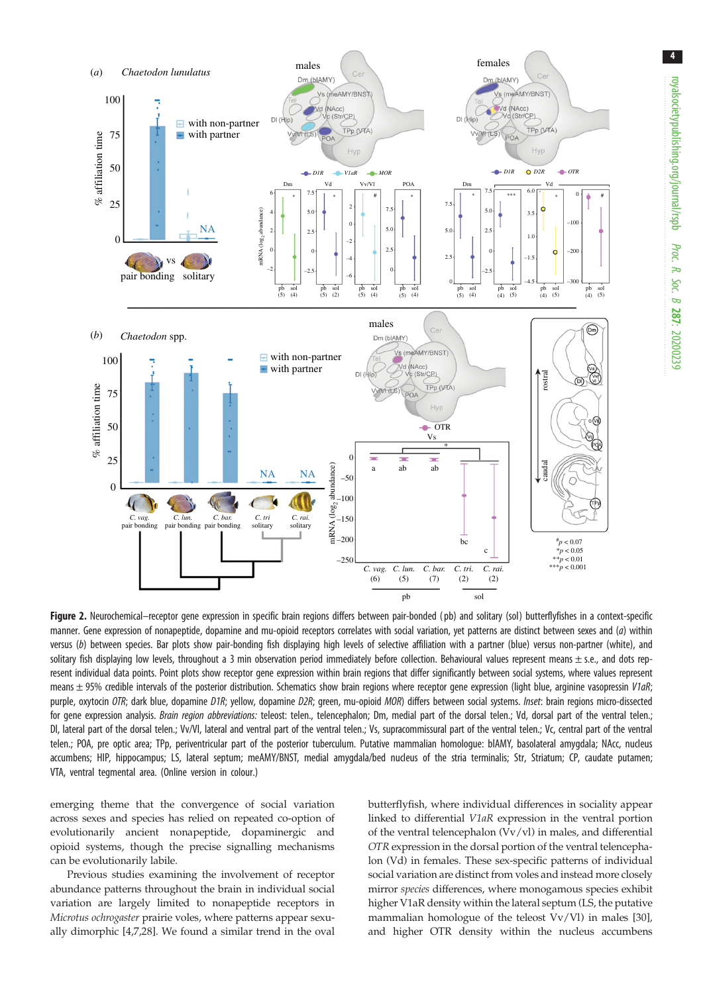<span id="page-3-0"></span>

Figure 2. Neurochemical–receptor gene expression in specific brain regions differs between pair-bonded (pb) and solitary (sol) butterflyfishes in a context-specific manner. Gene expression of nonapeptide, dopamine and mu-opioid receptors correlates with social variation, yet patterns are distinct between sexes and (a) within versus (b) between species. Bar plots show pair-bonding fish displaying high levels of selective affiliation with a partner (blue) versus non-partner (white), and solitary fish displaying low levels, throughout a 3 min observation period immediately before collection. Behavioural values represent means  $\pm$  s.e., and dots represent individual data points. Point plots show receptor gene expression within brain regions that differ significantly between social systems, where values represent means  $\pm$  95% credible intervals of the posterior distribution. Schematics show brain regions where receptor gene expression (light blue, arginine vasopressin V1aR; purple, oxytocin OTR; dark blue, dopamine D1R; yellow, dopamine D2R; green, mu-opioid MOR) differs between social systems. Inset: brain regions micro-dissected for gene expression analysis. Brain region abbreviations: teleost: telen., telencephalon; Dm, medial part of the dorsal telen.; Vd, dorsal part of the ventral telen.; DI, lateral part of the dorsal telen.; Vv/VI, lateral and ventral part of the ventral telen.; Vs, supracommissural part of the ventral telen.; Vc, central part of the ventral telen.; POA, pre optic area; TPp, periventricular part of the posterior tuberculum. Putative mammalian homologue: blAMY, basolateral amygdala; NAcc, nucleus accumbens; HIP, hippocampus; LS, lateral septum; meAMY/BNST, medial amygdala/bed nucleus of the stria terminalis; Str, Striatum; CP, caudate putamen; VTA, ventral tegmental area. (Online version in colour.)

emerging theme that the convergence of social variation across sexes and species has relied on repeated co-option of evolutionarily ancient nonapeptide, dopaminergic and opioid systems, though the precise signalling mechanisms can be evolutionarily labile.

Previous studies examining the involvement of receptor abundance patterns throughout the brain in individual social variation are largely limited to nonapeptide receptors in Microtus ochrogaster prairie voles, where patterns appear sexually dimorphic [[4,7,28\]](#page-5-0). We found a similar trend in the oval butterflyfish, where individual differences in sociality appear linked to differential V1aR expression in the ventral portion of the ventral telencephalon (Vv/vl) in males, and differential OTR expression in the dorsal portion of the ventral telencephalon (Vd) in females. These sex-specific patterns of individual social variation are distinct from voles and instead more closely mirror species differences, where monogamous species exhibit higher V1aR density within the lateral septum (LS, the putative mammalian homologue of the teleost Vv/Vl) in males [[30\]](#page-5-0), and higher OTR density within the nucleus accumbens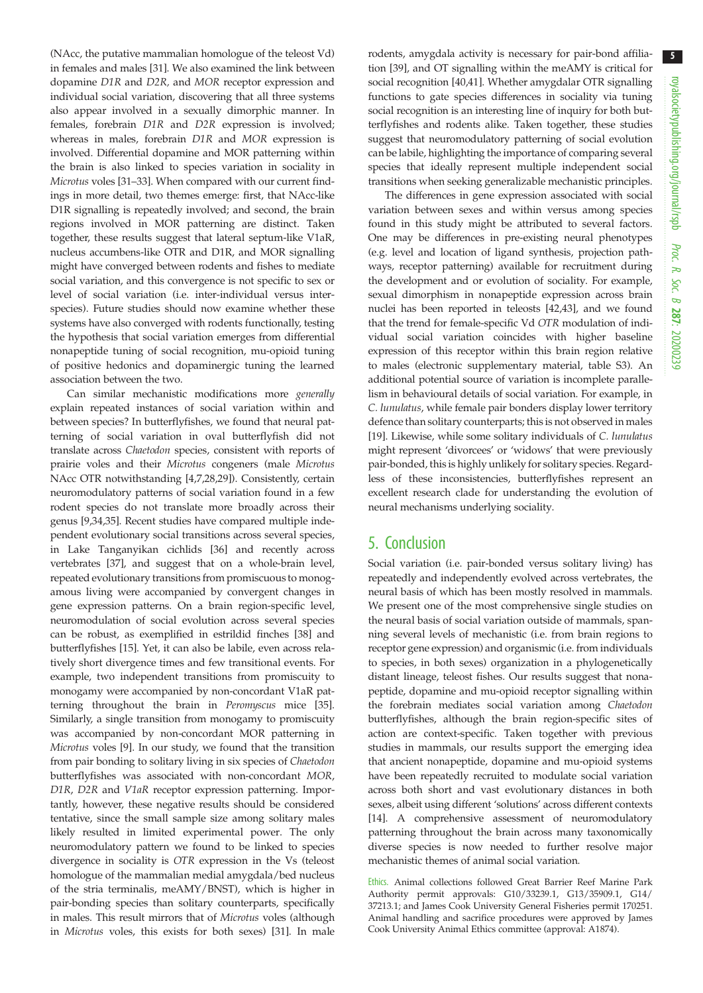(NAcc, the putative mammalian homologue of the teleost Vd) in females and males [[31](#page-5-0)]. We also examined the link between dopamine D1R and D2R, and MOR receptor expression and individual social variation, discovering that all three systems also appear involved in a sexually dimorphic manner. In females, forebrain D1R and D2R expression is involved; whereas in males, forebrain D1R and MOR expression is involved. Differential dopamine and MOR patterning within the brain is also linked to species variation in sociality in Microtus voles [[31](#page-5-0)–[33\]](#page-6-0). When compared with our current findings in more detail, two themes emerge: first, that NAcc-like D1R signalling is repeatedly involved; and second, the brain regions involved in MOR patterning are distinct. Taken together, these results suggest that lateral septum-like V1aR, nucleus accumbens-like OTR and D1R, and MOR signalling might have converged between rodents and fishes to mediate social variation, and this convergence is not specific to sex or level of social variation (i.e. inter-individual versus interspecies). Future studies should now examine whether these systems have also converged with rodents functionally, testing the hypothesis that social variation emerges from differential nonapeptide tuning of social recognition, mu-opioid tuning of positive hedonics and dopaminergic tuning the learned association between the two.

Can similar mechanistic modifications more generally explain repeated instances of social variation within and between species? In butterflyfishes, we found that neural patterning of social variation in oval butterflyfish did not translate across Chaetodon species, consistent with reports of prairie voles and their Microtus congeners (male Microtus NAcc OTR notwithstanding [[4](#page-5-0),[7,28,29](#page-5-0)]). Consistently, certain neuromodulatory patterns of social variation found in a few rodent species do not translate more broadly across their genus [\[9,](#page-5-0)[34,35](#page-6-0)]. Recent studies have compared multiple independent evolutionary social transitions across several species, in Lake Tanganyikan cichlids [[36\]](#page-6-0) and recently across vertebrates [\[37](#page-6-0)], and suggest that on a whole-brain level, repeated evolutionary transitions from promiscuous to monogamous living were accompanied by convergent changes in gene expression patterns. On a brain region-specific level, neuromodulation of social evolution across several species can be robust, as exemplified in estrildid finches [\[38](#page-6-0)] and butterflyfishes [[15\]](#page-5-0). Yet, it can also be labile, even across relatively short divergence times and few transitional events. For example, two independent transitions from promiscuity to monogamy were accompanied by non-concordant V1aR patterning throughout the brain in Peromyscus mice [\[35](#page-6-0)]. Similarly, a single transition from monogamy to promiscuity was accompanied by non-concordant MOR patterning in Microtus voles [\[9\]](#page-5-0). In our study, we found that the transition from pair bonding to solitary living in six species of Chaetodon butterflyfishes was associated with non-concordant MOR, D1R, D2R and V1aR receptor expression patterning. Importantly, however, these negative results should be considered tentative, since the small sample size among solitary males likely resulted in limited experimental power. The only neuromodulatory pattern we found to be linked to species divergence in sociality is OTR expression in the Vs (teleost homologue of the mammalian medial amygdala/bed nucleus of the stria terminalis, meAMY/BNST), which is higher in pair-bonding species than solitary counterparts, specifically in males. This result mirrors that of Microtus voles (although in Microtus voles, this exists for both sexes) [[31\]](#page-5-0). In male rodents, amygdala activity is necessary for pair-bond affiliation [[39\]](#page-6-0), and OT signalling within the meAMY is critical for social recognition [\[40](#page-6-0),[41](#page-6-0)]. Whether amygdalar OTR signalling functions to gate species differences in sociality via tuning social recognition is an interesting line of inquiry for both butterflyfishes and rodents alike. Taken together, these studies suggest that neuromodulatory patterning of social evolution can be labile, highlighting the importance of comparing several species that ideally represent multiple independent social transitions when seeking generalizable mechanistic principles.

The differences in gene expression associated with social variation between sexes and within versus among species found in this study might be attributed to several factors. One may be differences in pre-existing neural phenotypes (e.g. level and location of ligand synthesis, projection pathways, receptor patterning) available for recruitment during the development and or evolution of sociality. For example, sexual dimorphism in nonapeptide expression across brain nuclei has been reported in teleosts [\[42,43](#page-6-0)], and we found that the trend for female-specific Vd OTR modulation of individual social variation coincides with higher baseline expression of this receptor within this brain region relative to males (electronic supplementary material, table S3). An additional potential source of variation is incomplete parallelism in behavioural details of social variation. For example, in C. lunulatus, while female pair bonders display lower territory defence than solitary counterparts; this is not observed in males [[19\]](#page-5-0). Likewise, while some solitary individuals of C. lunulatus might represent 'divorcees' or 'widows' that were previously pair-bonded, this is highly unlikely for solitary species. Regardless of these inconsistencies, butterflyfishes represent an excellent research clade for understanding the evolution of neural mechanisms underlying sociality.

## 5. Conclusion

Social variation (i.e. pair-bonded versus solitary living) has repeatedly and independently evolved across vertebrates, the neural basis of which has been mostly resolved in mammals. We present one of the most comprehensive single studies on the neural basis of social variation outside of mammals, spanning several levels of mechanistic (i.e. from brain regions to receptor gene expression) and organismic (i.e. from individuals to species, in both sexes) organization in a phylogenetically distant lineage, teleost fishes. Our results suggest that nonapeptide, dopamine and mu-opioid receptor signalling within the forebrain mediates social variation among Chaetodon butterflyfishes, although the brain region-specific sites of action are context-specific. Taken together with previous studies in mammals, our results support the emerging idea that ancient nonapeptide, dopamine and mu-opioid systems have been repeatedly recruited to modulate social variation across both short and vast evolutionary distances in both sexes, albeit using different 'solutions' across different contexts [[14\]](#page-5-0). A comprehensive assessment of neuromodulatory patterning throughout the brain across many taxonomically diverse species is now needed to further resolve major mechanistic themes of animal social variation.

Ethics. Animal collections followed Great Barrier Reef Marine Park Authority permit approvals: G10/33239.1, G13/35909.1, G14/ 37213.1; and James Cook University General Fisheries permit 170251. Animal handling and sacrifice procedures were approved by James Cook University Animal Ethics committee (approval: A1874).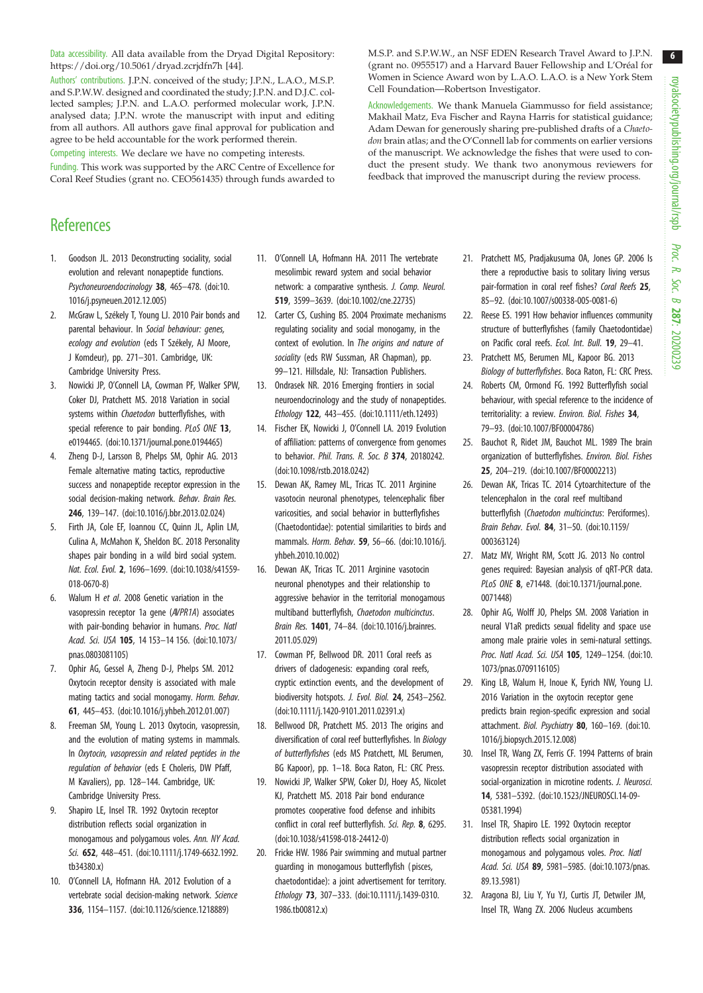6

<span id="page-5-0"></span>Data accessibility. All data available from the Dryad Digital Repository: <https://doi.org/10.5061/dryad.zcrjdfn7h> [[44\]](#page-6-0).

Authors' contributions. J.P.N. conceived of the study: J.P.N., L.A.O., M.S.P. and S.P.W.W. designed and coordinated the study; J.P.N. and D.J.C. collected samples; J.P.N. and L.A.O. performed molecular work, J.P.N. analysed data; J.P.N. wrote the manuscript with input and editing from all authors. All authors gave final approval for publication and agree to be held accountable for the work performed therein.

Competing interests. We declare we have no competing interests.

Funding. This work was supported by the ARC Centre of Excellence for Coral Reef Studies (grant no. CEO561435) through funds awarded to

## **References**

- 1. Goodson JL. 2013 Deconstructing sociality, social evolution and relevant nonapeptide functions. Psychoneuroendocrinology 38, 465–478. ([doi:10.](http://dx.doi.org/10.1016/j.psyneuen.2012.12.005) [1016/j.psyneuen.2012.12.005\)](http://dx.doi.org/10.1016/j.psyneuen.2012.12.005)
- 2. McGraw L, Székely T, Young LJ. 2010 Pair bonds and parental behaviour. In Social behaviour: genes, ecology and evolution (eds T Székely, AJ Moore, J Komdeur), pp. 271–301. Cambridge, UK: Cambridge University Press.
- 3. Nowicki JP, O'Connell LA, Cowman PF, Walker SPW, Coker DJ, Pratchett MS. 2018 Variation in social systems within Chaetodon butterflyfishes, with special reference to pair bonding. PLoS ONE 13, e0194465. ([doi:10.1371/journal.pone.0194465](http://dx.doi.org/10.1371/journal.pone.0194465))
- 4. Zheng D-J, Larsson B, Phelps SM, Ophir AG. 2013 Female alternative mating tactics, reproductive success and nonapeptide receptor expression in the social decision-making network. Behav. Brain Res. 246, 139–147. ([doi:10.1016/j.bbr.2013.02.024](http://dx.doi.org/10.1016/j.bbr.2013.02.024))
- 5. Firth JA, Cole EF, Ioannou CC, Quinn JL, Aplin LM, Culina A, McMahon K, Sheldon BC. 2018 Personality shapes pair bonding in a wild bird social system. Nat. Ecol. Evol. 2, 1696–1699. ([doi:10.1038/s41559-](http://dx.doi.org/10.1038/s41559-018-0670-8) [018-0670-8\)](http://dx.doi.org/10.1038/s41559-018-0670-8)
- 6. Walum H et al. 2008 Genetic variation in the vasopressin receptor 1a gene (AVPR1A) associates with pair-bonding behavior in humans. Proc. Natl Acad. Sci. USA 105, 14 153–14 156. ([doi:10.1073/](http://dx.doi.org/10.1073/pnas.0803081105) [pnas.0803081105](http://dx.doi.org/10.1073/pnas.0803081105))
- 7. Ophir AG, Gessel A, Zheng D-J, Phelps SM. 2012 Oxytocin receptor density is associated with male mating tactics and social monogamy. Horm. Behav. 61, 445–453. ([doi:10.1016/j.yhbeh.2012.01.007](http://dx.doi.org/10.1016/j.yhbeh.2012.01.007))
- 8. Freeman SM, Young L. 2013 Oxytocin, vasopressin, and the evolution of mating systems in mammals. In Oxytocin, vasopressin and related peptides in the regulation of behavior (eds E Choleris, DW Pfaff, M Kavaliers), pp. 128–144. Cambridge, UK: Cambridge University Press.
- 9. Shapiro LE, Insel TR. 1992 Oxytocin receptor distribution reflects social organization in monogamous and polygamous voles. Ann. NY Acad. Sci. 652, 448–451. ([doi:10.1111/j.1749-6632.1992.](http://dx.doi.org/10.1111/j.1749-6632.1992.tb34380.x) [tb34380.x](http://dx.doi.org/10.1111/j.1749-6632.1992.tb34380.x))
- 10. O'Connell LA, Hofmann HA. 2012 Evolution of a vertebrate social decision-making network. Science 336, 1154–1157. [\(doi:10.1126/science.1218889\)](http://dx.doi.org/10.1126/science.1218889)
- 11. O'Connell LA, Hofmann HA. 2011 The vertebrate mesolimbic reward system and social behavior network: a comparative synthesis. J. Comp. Neurol. 519, 3599–3639. [\(doi:10.1002/cne.22735\)](http://dx.doi.org/10.1002/cne.22735)
- 12. Carter CS, Cushing BS. 2004 Proximate mechanisms regulating sociality and social monogamy, in the context of evolution. In The origins and nature of sociality (eds RW Sussman, AR Chapman), pp. 99–121. Hillsdale, NJ: Transaction Publishers.
- 13. Ondrasek NR. 2016 Emerging frontiers in social neuroendocrinology and the study of nonapeptides. Ethology 122, 443–455. ([doi:10.1111/eth.12493\)](http://dx.doi.org/10.1111/eth.12493)
- 14. Fischer EK, Nowicki J, O'Connell LA. 2019 Evolution of affiliation: patterns of convergence from genomes to behavior. Phil. Trans. R. Soc. B 374, 20180242. [\(doi:10.1098/rstb.2018.0242](http://dx.doi.org/10.1098/rstb.2018.0242))
- 15. Dewan AK, Ramey ML, Tricas TC. 2011 Arginine vasotocin neuronal phenotypes, telencephalic fiber varicosities, and social behavior in butterflyfishes (Chaetodontidae): potential similarities to birds and mammals. Horm. Behav. 59, 56–66. [\(doi:10.1016/j.](http://dx.doi.org/10.1016/j.yhbeh.2010.10.002) [yhbeh.2010.10.002](http://dx.doi.org/10.1016/j.yhbeh.2010.10.002))
- 16. Dewan AK, Tricas TC. 2011 Arginine vasotocin neuronal phenotypes and their relationship to aggressive behavior in the territorial monogamous multiband butterflyfish, Chaetodon multicinctus. Brain Res. 1401, 74–84. [\(doi:10.1016/j.brainres.](http://dx.doi.org/10.1016/j.brainres.2011.05.029) [2011.05.029\)](http://dx.doi.org/10.1016/j.brainres.2011.05.029)
- 17. Cowman PF, Bellwood DR. 2011 Coral reefs as drivers of cladogenesis: expanding coral reefs, cryptic extinction events, and the development of biodiversity hotspots. J. Evol. Biol. 24, 2543–2562. [\(doi:10.1111/j.1420-9101.2011.02391.x\)](http://dx.doi.org/10.1111/j.1420-9101.2011.02391.x)
- 18. Bellwood DR, Pratchett MS. 2013 The origins and diversification of coral reef butterflyfishes. In Biology of butterflyfishes (eds MS Pratchett, ML Berumen, BG Kapoor), pp. 1–18. Boca Raton, FL: CRC Press.
- 19. Nowicki JP, Walker SPW, Coker DJ, Hoey AS, Nicolet KJ, Pratchett MS. 2018 Pair bond endurance promotes cooperative food defense and inhibits conflict in coral reef butterflyfish. Sci. Rep. 8, 6295. [\(doi:10.1038/s41598-018-24412-0\)](http://dx.doi.org/10.1038/s41598-018-24412-0)
- 20. Fricke HW. 1986 Pair swimming and mutual partner guarding in monogamous butterflyfish ( pisces, chaetodontidae): a joint advertisement for territory. Ethology 73, 307–333. ([doi:10.1111/j.1439-0310.](http://dx.doi.org/10.1111/j.1439-0310.1986.tb00812.x) [1986.tb00812.x](http://dx.doi.org/10.1111/j.1439-0310.1986.tb00812.x))

M.S.P. and S.P.W.W., an NSF EDEN Research Travel Award to J.P.N. (grant no. 0955517) and a Harvard Bauer Fellowship and L'Oréal for Women in Science Award won by L.A.O. L.A.O. is a New York Stem Cell Foundation—Robertson Investigator.

Acknowledgements. We thank Manuela Giammusso for field assistance; Makhail Matz, Eva Fischer and Rayna Harris for statistical guidance; Adam Dewan for generously sharing pre-published drafts of a Chaetodon brain atlas; and the O'Connell lab for comments on earlier versions of the manuscript. We acknowledge the fishes that were used to conduct the present study. We thank two anonymous reviewers for feedback that improved the manuscript during the review process.

- 21. Pratchett MS, Pradjakusuma OA, Jones GP. 2006 Is there a reproductive basis to solitary living versus pair-formation in coral reef fishes? Coral Reefs 25, 85–92. ([doi:10.1007/s00338-005-0081-6\)](http://dx.doi.org/10.1007/s00338-005-0081-6)
- 22. Reese ES. 1991 How behavior influences community structure of butterflyfishes (family Chaetodontidae) on Pacific coral reefs. Ecol. Int. Bull. 19, 29–41.
- 23. Pratchett MS, Berumen ML, Kapoor BG. 2013 Biology of butterflyfishes. Boca Raton, FL: CRC Press.
- 24. Roberts CM, Ormond FG. 1992 Butterflyfish social behaviour, with special reference to the incidence of territoriality: a review. Environ. Biol. Fishes 34, 79–93. ([doi:10.1007/BF00004786\)](http://dx.doi.org/10.1007/BF00004786)
- 25. Bauchot R, Ridet JM, Bauchot ML. 1989 The brain organization of butterflyfishes. Environ. Biol. Fishes 25, 204–219. ([doi:10.1007/BF00002213\)](http://dx.doi.org/10.1007/BF00002213)
- 26. Dewan AK, Tricas TC. 2014 Cytoarchitecture of the telencephalon in the coral reef multiband butterflyfish (Chaetodon multicinctus: Perciformes). Brain Behav. Evol. 84, 31–50. [\(doi:10.1159/](http://dx.doi.org/10.1159/000363124) [000363124](http://dx.doi.org/10.1159/000363124))
- 27. Matz MV, Wright RM, Scott JG. 2013 No control genes required: Bayesian analysis of qRT-PCR data. PLoS ONE 8, e71448. ([doi:10.1371/journal.pone.](http://dx.doi.org/10.1371/journal.pone.0071448) [0071448](http://dx.doi.org/10.1371/journal.pone.0071448))
- 28. Ophir AG, Wolff JO, Phelps SM. 2008 Variation in neural V1aR predicts sexual fidelity and space use among male prairie voles in semi-natural settings. Proc. Natl Acad. Sci. USA 105, 1249–1254. [\(doi:10.](http://dx.doi.org/10.1073/pnas.0709116105) [1073/pnas.0709116105\)](http://dx.doi.org/10.1073/pnas.0709116105)
- 29. King LB, Walum H, Inoue K, Eyrich NW, Young LJ. 2016 Variation in the oxytocin receptor gene predicts brain region-specific expression and social attachment. Biol. Psychiatry 80, 160–169. [\(doi:10.](http://dx.doi.org/10.1016/j.biopsych.2015.12.008) [1016/j.biopsych.2015.12.008](http://dx.doi.org/10.1016/j.biopsych.2015.12.008))
- 30. Insel TR, Wang ZX, Ferris CF. 1994 Patterns of brain vasopressin receptor distribution associated with social-organization in microtine rodents. *J. Neurosci*. 14, 5381–5392. [\(doi:10.1523/JNEUROSCI.14-09-](http://dx.doi.org/10.1523/JNEUROSCI.14-09-05381.1994) [05381.1994\)](http://dx.doi.org/10.1523/JNEUROSCI.14-09-05381.1994)
- 31. Insel TR, Shapiro LE. 1992 Oxytocin receptor distribution reflects social organization in monogamous and polygamous voles. Proc. Natl Acad. Sci. USA 89, 5981–5985. ([doi:10.1073/pnas.](http://dx.doi.org/10.1073/pnas.89.13.5981) [89.13.5981](http://dx.doi.org/10.1073/pnas.89.13.5981))
- 32. Aragona BJ, Liu Y, Yu YJ, Curtis JT, Detwiler JM, Insel TR, Wang ZX. 2006 Nucleus accumbens